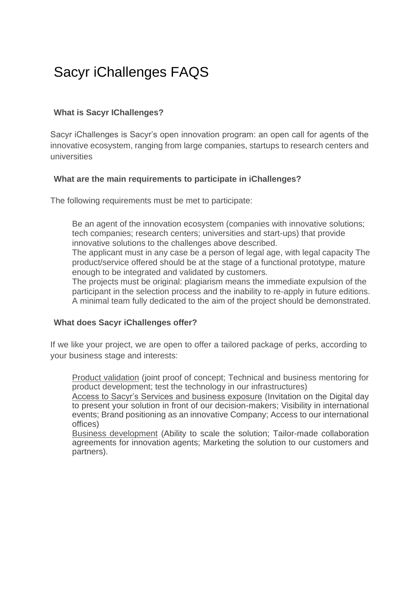# Sacyr iChallenges FAQS

## **What is Sacyr IChallenges?**

Sacyr iChallenges is Sacyr's open innovation program: an open call for agents of the innovative ecosystem, ranging from large companies, startups to research centers and universities

## **What are the main requirements to participate in iChallenges?**

The following requirements must be met to participate:

Be an agent of the innovation ecosystem (companies with innovative solutions; tech companies; research centers; universities and start-ups) that provide innovative solutions to the challenges above described.

The applicant must in any case be a person of legal age, with legal capacity The product/service offered should be at the stage of a functional prototype, mature enough to be integrated and validated by customers.

The projects must be original: plagiarism means the immediate expulsion of the participant in the selection process and the inability to re-apply in future editions. A minimal team fully dedicated to the aim of the project should be demonstrated.

## **What does Sacyr iChallenges offer?**

If we like your project, we are open to offer a tailored package of perks, according to your business stage and interests:

Product validation (joint proof of concept; Technical and business mentoring for product development; test the technology in our infrastructures)

Access to Sacyr's Services and business exposure (Invitation on the Digital day to present your solution in front of our decision-makers; Visibility in international events; Brand positioning as an innovative Company; Access to our international offices)

Business development (Ability to scale the solution; Tailor-made collaboration agreements for innovation agents; Marketing the solution to our customers and partners).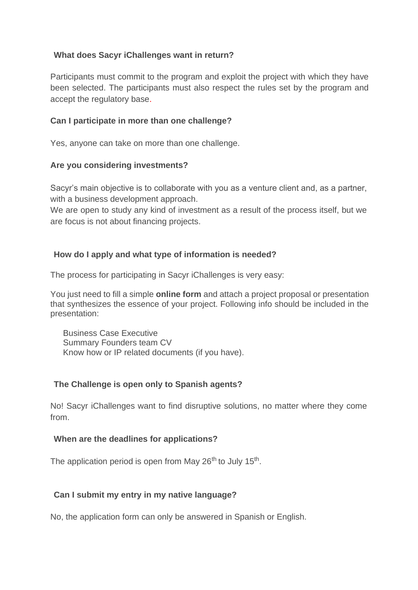## **What does Sacyr iChallenges want in return?**

Participants must commit to the program and exploit the project with which they have been selected. The participants must also respect the rules set by the program and accept the regulatory base.

## **Can I participate in more than one challenge?**

Yes, anyone can take on more than one challenge.

#### **Are you considering investments?**

Sacyr's main objective is to collaborate with you as a venture client and, as a partner, with a business development approach.

We are open to study any kind of investment as a result of the process itself, but we are focus is not about financing projects.

## **How do I apply and what type of information is needed?**

The process for participating in Sacyr iChallenges is very easy:

You just need to fill a simple **online form** and attach a project proposal or presentation that synthesizes the essence of your project. Following info should be included in the presentation:

Business Case Executive Summary Founders team CV Know how or IP related documents (if you have).

## **The Challenge is open only to Spanish agents?**

No! Sacyr iChallenges want to find disruptive solutions, no matter where they come from.

#### **When are the deadlines for applications?**

The application period is open from May 26<sup>th</sup> to July 15<sup>th</sup>.

## **Can I submit my entry in my native language?**

No, the application form can only be answered in Spanish or English.